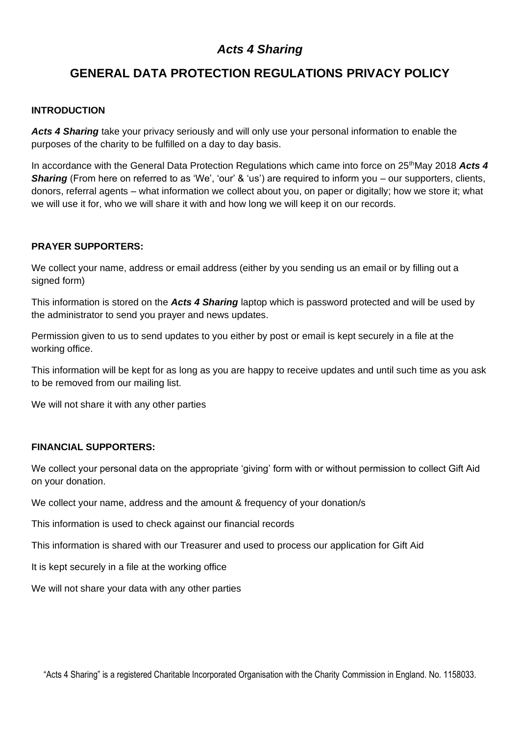# *Acts 4 Sharing*

# **GENERAL DATA PROTECTION REGULATIONS PRIVACY POLICY**

### **INTRODUCTION**

*Acts 4 Sharing* take your privacy seriously and will only use your personal information to enable the purposes of the charity to be fulfilled on a day to day basis.

In accordance with the General Data Protection Regulations which came into force on 25<sup>th</sup>May 2018 Acts 4 *Sharing* (From here on referred to as 'We', 'our' & 'us') are required to inform you – our supporters, clients, donors, referral agents – what information we collect about you, on paper or digitally; how we store it; what we will use it for, who we will share it with and how long we will keep it on our records.

### **PRAYER SUPPORTERS:**

We collect your name, address or email address (either by you sending us an email or by filling out a signed form)

This information is stored on the *Acts 4 Sharing* laptop which is password protected and will be used by the administrator to send you prayer and news updates.

Permission given to us to send updates to you either by post or email is kept securely in a file at the working office.

This information will be kept for as long as you are happy to receive updates and until such time as you ask to be removed from our mailing list.

We will not share it with any other parties

#### **FINANCIAL SUPPORTERS:**

We collect your personal data on the appropriate 'giving' form with or without permission to collect Gift Aid on your donation.

We collect your name, address and the amount & frequency of your donation/s

This information is used to check against our financial records

This information is shared with our Treasurer and used to process our application for Gift Aid

It is kept securely in a file at the working office

We will not share your data with any other parties